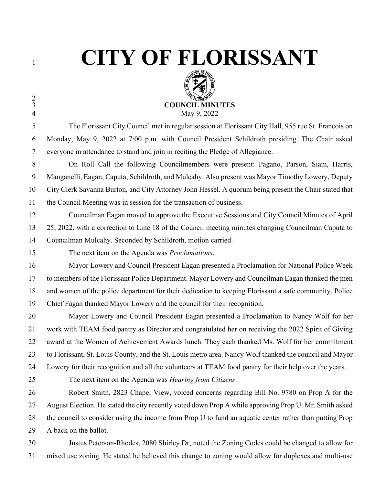$\frac{2}{3}$ 

## **CITY OF FLORISSANT**



 The Florissant City Council met in regular session at Florissant City Hall, 955 rue St. Francois on Monday, May 9, 2022 at 7:00 p.m. with Council President Schildroth presiding. The Chair asked everyone in attendance to stand and join in reciting the Pledge of Allegiance.

 On Roll Call the following Councilmembers were present: Pagano, Parson, Siam, Harris, Manganelli, Eagan, Caputa, Schildroth, and Mulcahy. Also present was Mayor Timothy Lowery, Deputy City Clerk Savanna Burton, and City Attorney John Hessel. A quorum being present the Chair stated that the Council Meeting was in session for the transaction of business.

 Councilman Eagan moved to approve the Executive Sessions and City Council Minutes of April 25, 2022, with a correction to Line 18 of the Council meeting minutes changing Councilman Caputa to Councilman Mulcahy. Seconded by Schildroth, motion carried.

The next item on the Agenda was *Proclamations*.

 Mayor Lowery and Council President Eagan presented a Proclamation for National Police Week to members of the Florissant Police Department. Mayor Lowery and Councilman Eagan thanked the men and women of the police department for their dedication to keeping Florissant a safe community. Police Chief Fagan thanked Mayor Lowery and the council for their recognition.

 Mayor Lowery and Council President Eagan presented a Proclamation to Nancy Wolf for her work with TEAM food pantry as Director and congratulated her on receiving the 2022 Spirit of Giving award at the Women of Achievement Awards lunch. They each thanked Ms. Wolf for her commitment to Florissant, St. Louis County, and the St. Louis metro area. Nancy Wolf thanked the council and Mayor Lowery for their recognition and all the volunteers at TEAM food pantry for their help over the years.

The next item on the Agenda was *Hearing from Citizens*.

 Robert Smith, 2823 Chapel View, voiced concerns regarding Bill No. 9780 on Prop A for the August Election. He stated the city recently voted down Prop A while approving Prop U. Mr. Smith asked the council to consider using the income from Prop U to fund an aquatic center rather than putting Prop 29 A back on the ballot.

 Justus Peterson-Rhodes, 2080 Shirley Dr, noted the Zoning Codes could be changed to allow for mixed use zoning. He stated he believed this change to zoning would allow for duplexes and multi-use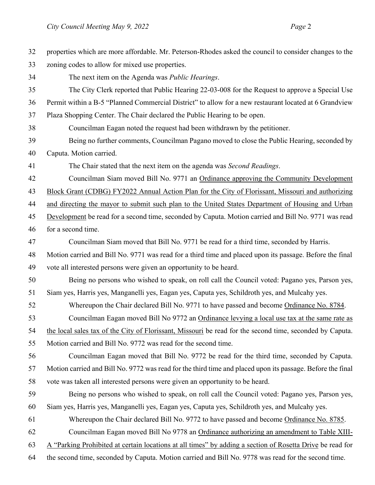| 32 | properties which are more affordable. Mr. Peterson-Rhodes asked the council to consider changes to the     |
|----|------------------------------------------------------------------------------------------------------------|
| 33 | zoning codes to allow for mixed use properties.                                                            |
| 34 | The next item on the Agenda was <i>Public Hearings</i> .                                                   |
| 35 | The City Clerk reported that Public Hearing 22-03-008 for the Request to approve a Special Use             |
| 36 | Permit within a B-5 "Planned Commercial District" to allow for a new restaurant located at 6 Grandview     |
| 37 | Plaza Shopping Center. The Chair declared the Public Hearing to be open.                                   |
| 38 | Councilman Eagan noted the request had been withdrawn by the petitioner.                                   |
| 39 | Being no further comments, Councilman Pagano moved to close the Public Hearing, seconded by                |
| 40 | Caputa. Motion carried.                                                                                    |
| 41 | The Chair stated that the next item on the agenda was Second Readings.                                     |
| 42 | Councilman Siam moved Bill No. 9771 an Ordinance approving the Community Development                       |
| 43 | Block Grant (CDBG) FY2022 Annual Action Plan for the City of Florissant, Missouri and authorizing          |
| 44 | and directing the mayor to submit such plan to the United States Department of Housing and Urban           |
| 45 | Development be read for a second time, seconded by Caputa. Motion carried and Bill No. 9771 was read       |
| 46 | for a second time.                                                                                         |
| 47 | Councilman Siam moved that Bill No. 9771 be read for a third time, seconded by Harris.                     |
| 48 | Motion carried and Bill No. 9771 was read for a third time and placed upon its passage. Before the final   |
| 49 | vote all interested persons were given an opportunity to be heard.                                         |
| 50 | Being no persons who wished to speak, on roll call the Council voted: Pagano yes, Parson yes,              |
| 51 | Siam yes, Harris yes, Manganelli yes, Eagan yes, Caputa yes, Schildroth yes, and Mulcahy yes.              |
| 52 | Whereupon the Chair declared Bill No. 9771 to have passed and become Ordinance No. 8784.                   |
| 53 | Councilman Eagan moved Bill No 9772 an Ordinance levying a local use tax at the same rate as               |
| 54 | the local sales tax of the City of Florissant, Missouri be read for the second time, seconded by Caputa.   |
| 55 | Motion carried and Bill No. 9772 was read for the second time.                                             |
| 56 | Councilman Eagan moved that Bill No. 9772 be read for the third time, seconded by Caputa.                  |
| 57 | Motion carried and Bill No. 9772 was read for the third time and placed upon its passage. Before the final |
| 58 | vote was taken all interested persons were given an opportunity to be heard.                               |
| 59 | Being no persons who wished to speak, on roll call the Council voted: Pagano yes, Parson yes,              |
| 60 | Siam yes, Harris yes, Manganelli yes, Eagan yes, Caputa yes, Schildroth yes, and Mulcahy yes.              |
| 61 | Whereupon the Chair declared Bill No. 9772 to have passed and become Ordinance No. 8785.                   |
| 62 | Councilman Eagan moved Bill No 9778 an Ordinance authorizing an amendment to Table XIII-                   |
| 63 | A "Parking Prohibited at certain locations at all times" by adding a section of Rosetta Drive be read for  |
| 64 | the second time, seconded by Caputa. Motion carried and Bill No. 9778 was read for the second time.        |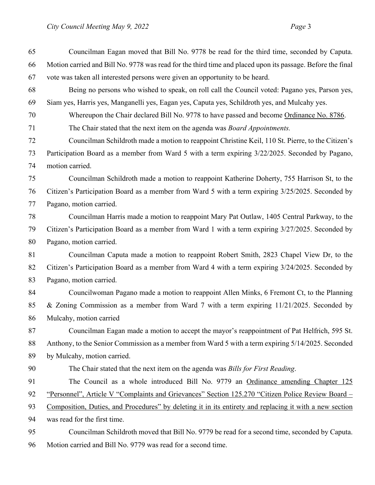Councilman Eagan moved that Bill No. 9778 be read for the third time, seconded by Caputa. Motion carried and Bill No. 9778 was read for the third time and placed upon its passage. Before the final vote was taken all interested persons were given an opportunity to be heard. Being no persons who wished to speak, on roll call the Council voted: Pagano yes, Parson yes, Siam yes, Harris yes, Manganelli yes, Eagan yes, Caputa yes, Schildroth yes, and Mulcahy yes. Whereupon the Chair declared Bill No. 9778 to have passed and become Ordinance No. 8786. The Chair stated that the next item on the agenda was *Board Appointments.*  Councilman Schildroth made a motion to reappoint Christine Keil, 110 St. Pierre, to the Citizen's Participation Board as a member from Ward 5 with a term expiring 3/22/2025. Seconded by Pagano, motion carried. Councilman Schildroth made a motion to reappoint Katherine Doherty, 755 Harrison St, to the Citizen's Participation Board as a member from Ward 5 with a term expiring 3/25/2025. Seconded by Pagano, motion carried. Councilman Harris made a motion to reappoint Mary Pat Outlaw, 1405 Central Parkway, to the Citizen's Participation Board as a member from Ward 1 with a term expiring 3/27/2025. Seconded by Pagano, motion carried. Councilman Caputa made a motion to reappoint Robert Smith, 2823 Chapel View Dr, to the Citizen's Participation Board as a member from Ward 4 with a term expiring 3/24/2025. Seconded by Pagano, motion carried. Councilwoman Pagano made a motion to reappoint Allen Minks, 6 Fremont Ct, to the Planning & Zoning Commission as a member from Ward 7 with a term expiring 11/21/2025. Seconded by Mulcahy, motion carried Councilman Eagan made a motion to accept the mayor's reappointment of Pat Helfrich, 595 St. Anthony, to the Senior Commission as a member from Ward 5 with a term expiring 5/14/2025. Seconded by Mulcahy, motion carried. The Chair stated that the next item on the agenda was *Bills for First Reading*. The Council as a whole introduced Bill No. 9779 an Ordinance amending Chapter 125 92 "Personnel", Article V "Complaints and Grievances" Section 125.270 "Citizen Police Review Board – Composition, Duties, and Procedures" by deleting it in its entirety and replacing it with a new section was read for the first time. Councilman Schildroth moved that Bill No. 9779 be read for a second time, seconded by Caputa. Motion carried and Bill No. 9779 was read for a second time.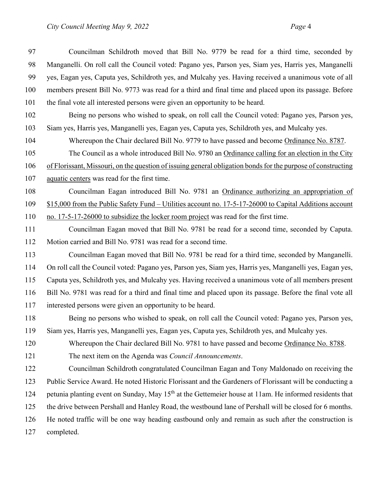Councilman Schildroth moved that Bill No. 9779 be read for a third time, seconded by Manganelli. On roll call the Council voted: Pagano yes, Parson yes, Siam yes, Harris yes, Manganelli yes, Eagan yes, Caputa yes, Schildroth yes, and Mulcahy yes. Having received a unanimous vote of all members present Bill No. 9773 was read for a third and final time and placed upon its passage. Before the final vote all interested persons were given an opportunity to be heard.

- Being no persons who wished to speak, on roll call the Council voted: Pagano yes, Parson yes, Siam yes, Harris yes, Manganelli yes, Eagan yes, Caputa yes, Schildroth yes, and Mulcahy yes.
- Whereupon the Chair declared Bill No. 9779 to have passed and become Ordinance No. 8787.

 The Council as a whole introduced Bill No. 9780 an Ordinance calling for an election in the City of Florissant, Missouri, on the question of issuing general obligation bonds for the purpose of constructing

aquatic centers was read for the first time.

Councilman Eagan introduced Bill No. 9781 an Ordinance authorizing an appropriation of

\$15,000 from the Public Safety Fund – Utilities account no. 17-5-17-26000 to Capital Additions account

no. 17-5-17-26000 to subsidize the locker room project was read for the first time.

 Councilman Eagan moved that Bill No. 9781 be read for a second time, seconded by Caputa. Motion carried and Bill No. 9781 was read for a second time.

- Councilman Eagan moved that Bill No. 9781 be read for a third time, seconded by Manganelli. On roll call the Council voted: Pagano yes, Parson yes, Siam yes, Harris yes, Manganelli yes, Eagan yes, Caputa yes, Schildroth yes, and Mulcahy yes. Having received a unanimous vote of all members present Bill No. 9781 was read for a third and final time and placed upon its passage. Before the final vote all interested persons were given an opportunity to be heard.
- Being no persons who wished to speak, on roll call the Council voted: Pagano yes, Parson yes, Siam yes, Harris yes, Manganelli yes, Eagan yes, Caputa yes, Schildroth yes, and Mulcahy yes.
- 120 Whereupon the Chair declared Bill No. 9781 to have passed and become Ordinance No. 8788.
- The next item on the Agenda was *Council Announcements*.

 Councilman Schildroth congratulated Councilman Eagan and Tony Maldonado on receiving the Public Service Award. He noted Historic Florissant and the Gardeners of Florissant will be conducting a 124 petunia planting event on Sunday, May 15<sup>th</sup> at the Gettemeier house at 11am. He informed residents that the drive between Pershall and Hanley Road, the westbound lane of Pershall will be closed for 6 months. He noted traffic will be one way heading eastbound only and remain as such after the construction is completed.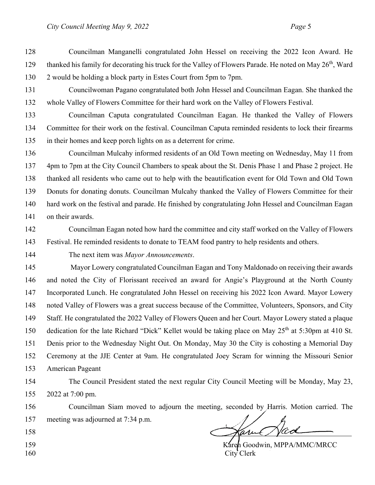Councilman Manganelli congratulated John Hessel on receiving the 2022 Icon Award. He 129 thanked his family for decorating his truck for the Valley of Flowers Parade. He noted on May 26<sup>th</sup>, Ward 2 would be holding a block party in Estes Court from 5pm to 7pm.

 Councilwoman Pagano congratulated both John Hessel and Councilman Eagan. She thanked the whole Valley of Flowers Committee for their hard work on the Valley of Flowers Festival.

 Councilman Caputa congratulated Councilman Eagan. He thanked the Valley of Flowers Committee for their work on the festival. Councilman Caputa reminded residents to lock their firearms in their homes and keep porch lights on as a deterrent for crime.

 Councilman Mulcahy informed residents of an Old Town meeting on Wednesday, May 11 from 4pm to 7pm at the City Council Chambers to speak about the St. Denis Phase 1 and Phase 2 project. He thanked all residents who came out to help with the beautification event for Old Town and Old Town Donuts for donating donuts. Councilman Mulcahy thanked the Valley of Flowers Committee for their hard work on the festival and parade. He finished by congratulating John Hessel and Councilman Eagan on their awards.

- Councilman Eagan noted how hard the committee and city staff worked on the Valley of Flowers Festival. He reminded residents to donate to TEAM food pantry to help residents and others.
- 

The next item was *Mayor Announcements*.

 Mayor Lowery congratulated Councilman Eagan and Tony Maldonado on receiving their awards and noted the City of Florissant received an award for Angie's Playground at the North County Incorporated Lunch. He congratulated John Hessel on receiving his 2022 Icon Award. Mayor Lowery noted Valley of Flowers was a great success because of the Committee, Volunteers, Sponsors, and City Staff. He congratulated the 2022 Valley of Flowers Queen and her Court. Mayor Lowery stated a plaque 150 dedication for the late Richard "Dick" Kellet would be taking place on May  $25<sup>th</sup>$  at 5:30pm at 410 St. Denis prior to the Wednesday Night Out. On Monday, May 30 the City is cohosting a Memorial Day Ceremony at the JJE Center at 9am. He congratulated Joey Scram for winning the Missouri Senior American Pageant

 The Council President stated the next regular City Council Meeting will be Monday, May 23, 2022 at 7:00 pm.

 Councilman Siam moved to adjourn the meeting, seconded by Harris. Motion carried. The meeting was adjourned at 7:34 p.m. Ham Had

- 
- 
- 

159 Karen Goodwin, MPPA/MMC/MRCC City Clerk